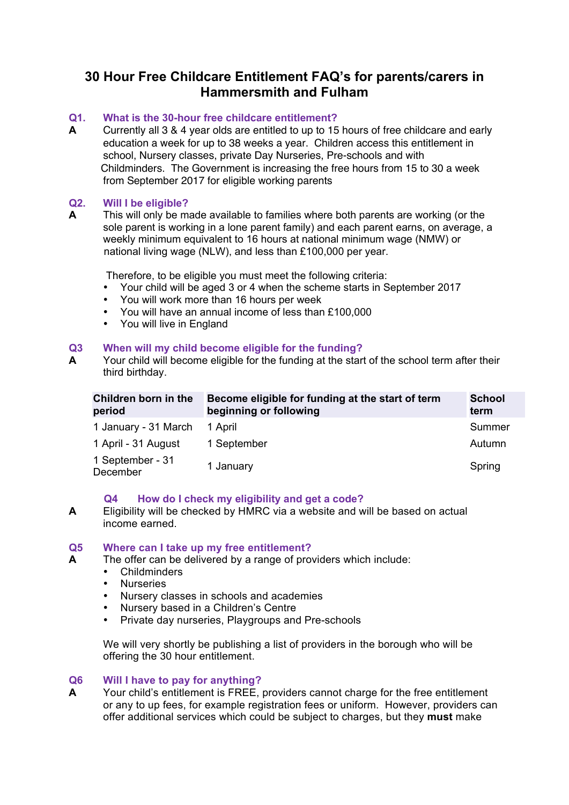# **30 Hour Free Childcare Entitlement FAQ's for parents/carers in Hammersmith and Fulham**

# **Q1. What is the 30-hour free childcare entitlement?**

**A** Currently all 3 & 4 year olds are entitled to up to 15 hours of free childcare and early education a week for up to 38 weeks a year. Children access this entitlement in school, Nursery classes, private Day Nurseries, Pre-schools and with Childminders. The Government is increasing the free hours from 15 to 30 a week from September 2017 for eligible working parents

## **Q2. Will I be eligible?**

**A** This will only be made available to families where both parents are working (or the sole parent is working in a lone parent family) and each parent earns, on average, a weekly minimum equivalent to 16 hours at national minimum wage (NMW) or national living wage (NLW), and less than £100,000 per year.

Therefore, to be eligible you must meet the following criteria:

- Your child will be aged 3 or 4 when the scheme starts in September 2017
- You will work more than 16 hours per week
- You will have an annual income of less than £100,000
- You will live in England

# **Q3 When will my child become eligible for the funding?**

**A** Your child will become eligible for the funding at the start of the school term after their third birthday.

| Children born in the<br>period | Become eligible for funding at the start of term<br>beginning or following | <b>School</b><br>term |
|--------------------------------|----------------------------------------------------------------------------|-----------------------|
| 1 January - 31 March           | 1 April                                                                    | Summer                |
| 1 April - 31 August            | 1 September                                                                | Autumn                |
| 1 September - 31<br>December   | 1 January                                                                  | Spring                |

## **Q4 How do I check my eligibility and get a code?**

**A** Eligibility will be checked by HMRC via a website and will be based on actual income earned.

## **Q5 Where can I take up my free entitlement?**

- **A** The offer can be delivered by a range of providers which include:
	- Childminders
	- Nurseries<br>• Nursery cl
	- Nursery classes in schools and academies<br>• Nursery based in a Children's Centre
	- Nursery based in a Children's Centre
	- Private day nurseries, Playgroups and Pre-schools

We will very shortly be publishing a list of providers in the borough who will be offering the 30 hour entitlement.

## **Q6 Will I have to pay for anything?**

**A** Your child's entitlement is FREE, providers cannot charge for the free entitlement or any to up fees, for example registration fees or uniform. However, providers can offer additional services which could be subject to charges, but they **must** make